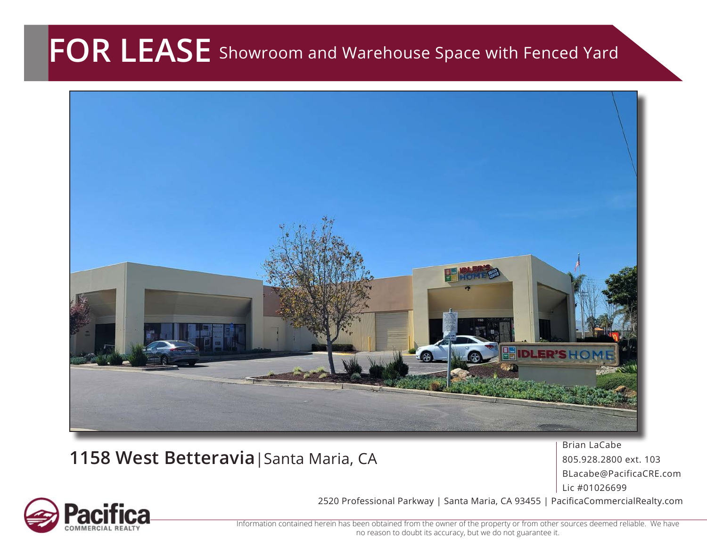### **FOR LEASE** Showroom and Warehouse Space with Fenced Yard



### **1158 West Betteravia**|Santa Maria, CA

Brian LaCabe 805.928.2800 ext. 103 BLacabe@PacificaCRE.com Lic #01026699



2520 Professional Parkway | Santa Maria, CA 93455 | PacificaCommercialRealty.com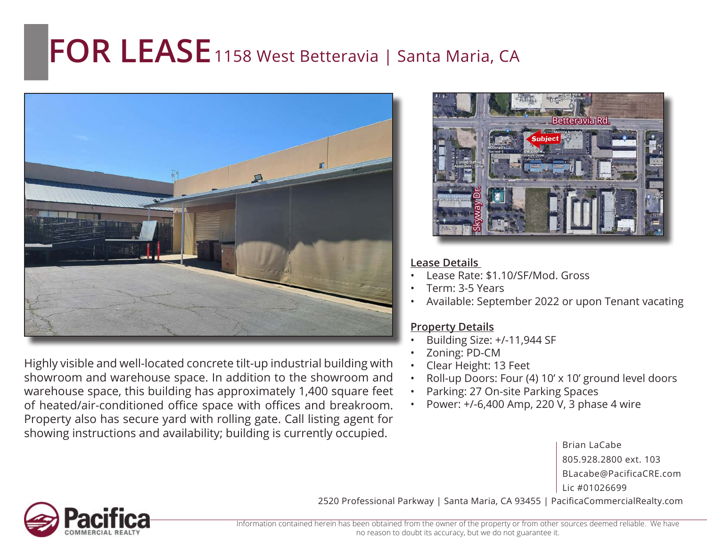# **FOR LEASE** 1158 West Betteravia | Santa Maria, CA



Highly visible and well-located concrete tilt-up industrial building with showroom and warehouse space. In addition to the showroom and warehouse space, this building has approximately 1,400 square feet of heated/air-conditioned office space with offices and breakroom. Property also has secure yard with rolling gate. Call listing agent for showing instructions and availability; building is currently occupied.



#### **Lease Details**

- Lease Rate: \$1.10/SF/Mod. Gross
- Term: 3-5 Years
- Available: September 2022 or upon Tenant vacating

#### **Property Details**

- Building Size: +/-11,944 SF
- Zoning: PD-CM
- Clear Height: 13 Feet
- Roll-up Doors: Four (4) 10' x 10' ground level doors
- Parking: 27 On-site Parking Spaces
- Power: +/-6,400 Amp, 220 V, 3 phase 4 wire
	- Brian LaCabe 805.928.2800 ext. 103 BLacabe@PacificaCRE.com Lic #01026699





Information contained herein has been obtained from the owner of the property or from other sources deemed reliable. We have no reason to doubt its accuracy, but we do not guarantee it.